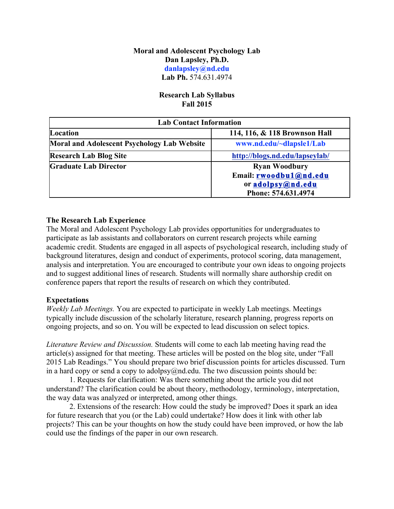## **Moral and Adolescent Psychology Lab Dan Lapsley, Ph.D. danlapsley@nd.edu Lab Ph.** 574.631.4974

## **Research Lab Syllabus Fall 2015**

| <b>Lab Contact Information</b>              |                                |
|---------------------------------------------|--------------------------------|
| Location                                    | 114, 116, & 118 Brownson Hall  |
| Moral and Adolescent Psychology Lab Website | www.nd.edu/~dlapsle1/Lab       |
| <b>Research Lab Blog Site</b>               | http://blogs.nd.edu/lapseylab/ |
| <b>Graduate Lab Director</b>                | <b>Ryan Woodbury</b>           |
|                                             | Email: rwoodbu1@nd.edu         |
|                                             | or adolpsy@nd.edu              |
|                                             | Phone: 574.631.4974            |

## **The Research Lab Experience**

The Moral and Adolescent Psychology Lab provides opportunities for undergraduates to participate as lab assistants and collaborators on current research projects while earning academic credit. Students are engaged in all aspects of psychological research, including study of background literatures, design and conduct of experiments, protocol scoring, data management, analysis and interpretation. You are encouraged to contribute your own ideas to ongoing projects and to suggest additional lines of research. Students will normally share authorship credit on conference papers that report the results of research on which they contributed.

## **Expectations**

*Weekly Lab Meetings.* You are expected to participate in weekly Lab meetings. Meetings typically include discussion of the scholarly literature, research planning, progress reports on ongoing projects, and so on. You will be expected to lead discussion on select topics.

*Literature Review and Discussion.* Students will come to each lab meeting having read the article(s) assigned for that meeting. These articles will be posted on the blog site, under "Fall 2015 Lab Readings." You should prepare two brief discussion points for articles discussed. Turn in a hard copy or send a copy to adolpsy $@n$ d.edu. The two discussion points should be:

1. Requests for clarification: Was there something about the article you did not understand? The clarification could be about theory, methodology, terminology, interpretation, the way data was analyzed or interpreted, among other things.

2. Extensions of the research: How could the study be improved? Does it spark an idea for future research that you (or the Lab) could undertake? How does it link with other lab projects? This can be your thoughts on how the study could have been improved, or how the lab could use the findings of the paper in our own research.